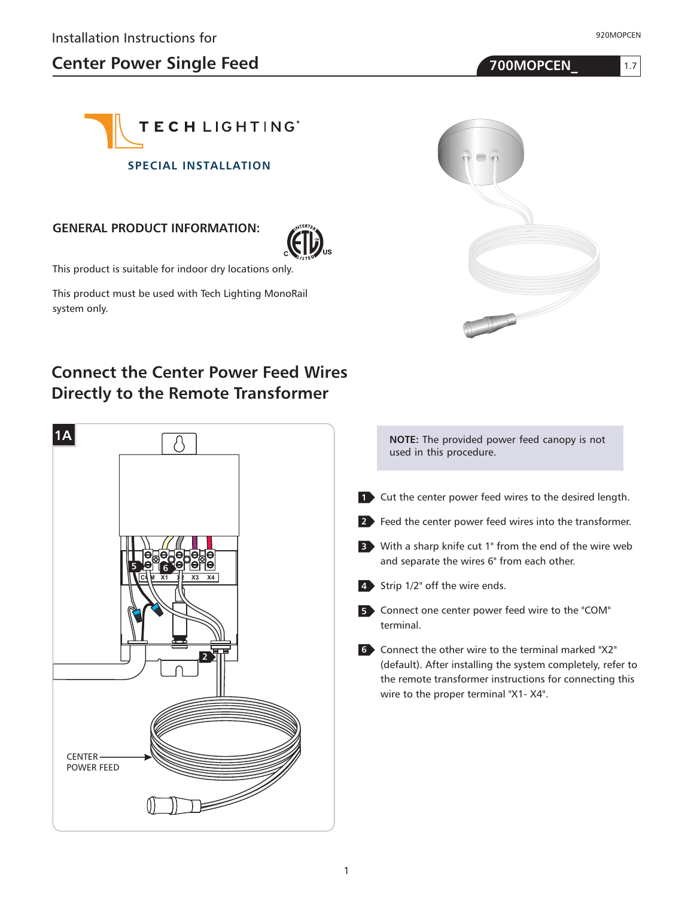1.7





#### **GENERAL PRODUCT INFORMATION:**



This product is suitable for indoor dry locations only.

This product must be used with Tech Lighting MonoRail system only.

# **Connect the Center Power Feed Wires Directly to the Remote Transformer**





| <b>NOTE:</b> The provided power feed canopy is not |  |
|----------------------------------------------------|--|
| used in this procedure.                            |  |

- Cut the center power feed wires to the desired length. **1**
- Feed the center power feed wires into the transformer. **2**
- With a sharp knife cut 1" from the end of the wire web **3** and separate the wires 6" from each other.
- Strip 1/2" off the wire ends. **4**
- Connect one center power feed wire to the "COM" **5** terminal.
- Connect the other wire to the terminal marked "X2" **6** (default). After installing the system completely, refer to the remote transformer instructions for connecting this wire to the proper terminal "X1- X4".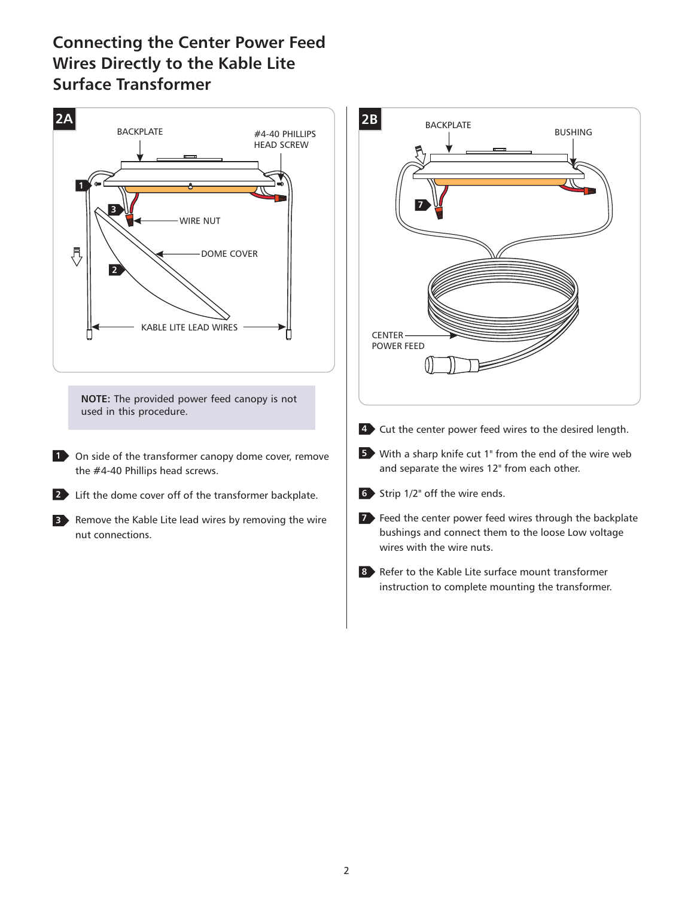# **Connecting the Center Power Feed Wires Directly to the Kable Lite Surface Transformer**

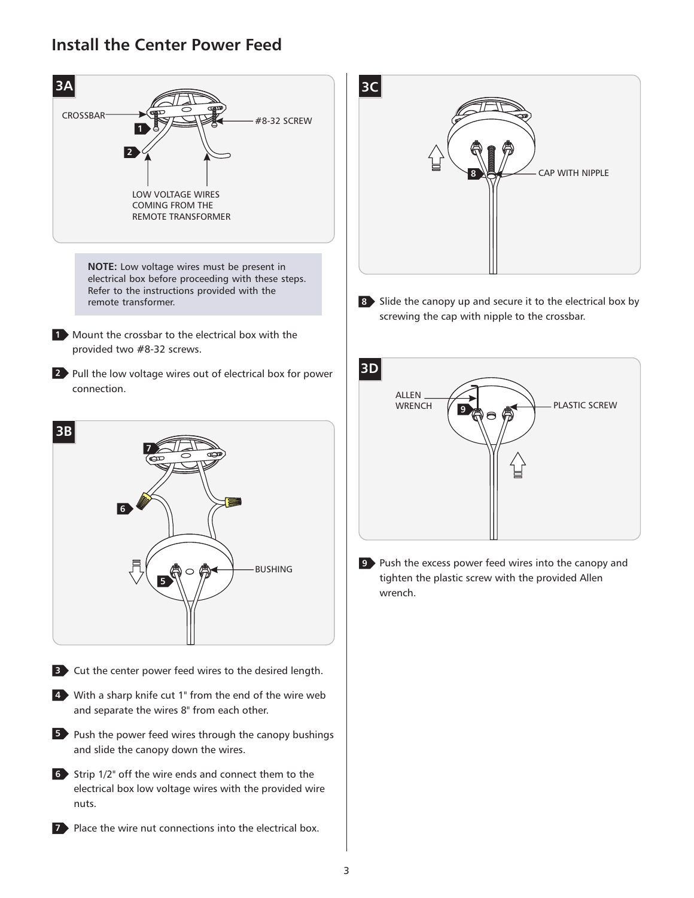#### **Install the Center Power Feed**



**Place the wire nut connections into the electrical box.** 



8 Slide the canopy up and secure it to the electrical box by screwing the cap with nipple to the crossbar.



**9** Push the excess power feed wires into the canopy and tighten the plastic screw with the provided Allen wrench.